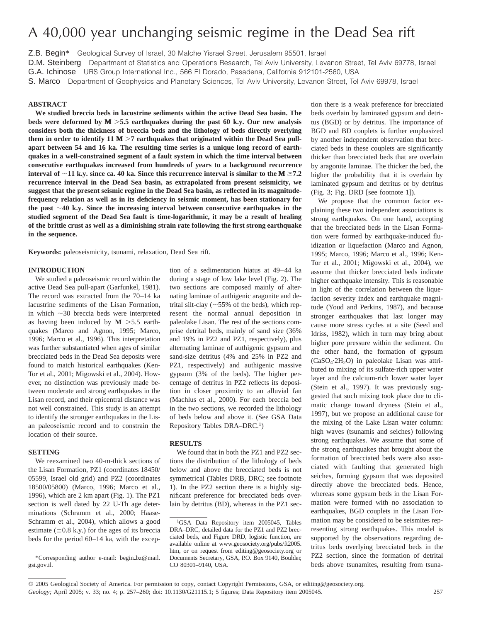# A 40,000 year unchanging seismic regime in the Dead Sea rift

Z.B. Begin\* Geological Survey of Israel, 30 Malche Yisrael Street, Jerusalem 95501, Israel

D.M. Steinberg Department of Statistics and Operations Research, Tel Aviv University, Levanon Street, Tel Aviv 69778, Israel

S. Marco Department of Geophysics and Planetary Sciences, Tel Aviv University, Levanon Street, Tel Aviv 69978, Israel

### **ABSTRACT**

**We studied breccia beds in lacustrine sediments within the active Dead Sea basin. The beds were deformed by**  $M > 5.5$  **earthquakes during the past 60 k.y. Our new analysis considers both the thickness of breccia beds and the lithology of beds directly overlying** them in order to identify  $11 M > 7$  earthquakes that originated within the Dead Sea pull**apart between 54 and 16 ka. The resulting time series is a unique long record of earthquakes in a well-constrained segment of a fault system in which the time interval between consecutive earthquakes increased from hundreds of years to a background recurrence interval of**  $\sim$ **11 k.y. since ca. 40 ka. Since this recurrence interval is similar to the M**  $\geq$ **7.2 recurrence interval in the Dead Sea basin, as extrapolated from present seismicity, we suggest that the present seismic regime in the Dead Sea basin, as reflected in its magnitudefrequency relation as well as in its deficiency in seismic moment, has been stationary for** the past  $\sim$  40 k.y. Since the increasing interval between consecutive earthquakes in the **studied segment of the Dead Sea fault is time-logarithmic, it may be a result of healing of the brittle crust as well as a diminishing strain rate following the first strong earthquake in the sequence.**

**Keywords:** paleoseismicity, tsunami, relaxation, Dead Sea rift.

### **INTRODUCTION**

We studied a paleoseismic record within the active Dead Sea pull-apart (Garfunkel, 1981). The record was extracted from the 70–14 ka lacustrine sediments of the Lisan Formation, in which  $\sim$ 30 breccia beds were interpreted as having been induced by  $M > 5.5$  earthquakes (Marco and Agnon, 1995; Marco, 1996; Marco et al., 1996). This interpretation was further substantiated when ages of similar brecciated beds in the Dead Sea deposits were found to match historical earthquakes (Ken-Tor et al., 2001; Migowski et al., 2004). However, no distinction was previously made between moderate and strong earthquakes in the Lisan record, and their epicentral distance was not well constrained. This study is an attempt to identify the stronger earthquakes in the Lisan paleoseismic record and to constrain the location of their source.

### **SETTING**

We reexamined two 40-m-thick sections of the Lisan Formation, PZ1 (coordinates 18450/ 05599, Israel old grid) and PZ2 (coordinates 18500/05800) (Marco, 1996; Marco et al., 1996), which are 2 km apart (Fig. 1). The PZ1 section is well dated by 22 U-Th age determinations (Schramm et al., 2000; Haase-Schramm et al., 2004), which allows a good estimate  $(\pm 0.8 \text{ k.y.})$  for the ages of its breccia beds for the period 60–14 ka, with the excep-

tion of a sedimentation hiatus at 49–44 ka during a stage of low lake level (Fig. 2). The two sections are composed mainly of alternating laminae of authigenic aragonite and detrital silt-clay ( $\sim$ 55% of the beds), which represent the normal annual deposition in paleolake Lisan. The rest of the sections comprise detrital beds, mainly of sand size (36% and 19% in PZ2 and PZ1, respectively), plus alternating laminae of authigenic gypsum and sand-size detritus (4% and 25% in PZ2 and PZ1, respectively) and authigenic massive gypsum (3% of the beds). The higher percentage of detritus in PZ2 reflects its deposition in closer proximity to an alluvial fan (Machlus et al., 2000). For each breccia bed in the two sections, we recorded the lithology of beds below and above it. (See GSA Data Repository Tables DRA–DRC.1)

#### **RESULTS**

We found that in both the PZ1 and PZ2 sections the distribution of the lithology of beds below and above the brecciated beds is not symmetrical (Tables DRB, DRC; see footnote 1). In the PZ2 section there is a highly significant preference for brecciated beds overlain by detritus (BD), whereas in the PZ1 section there is a weak preference for brecciated beds overlain by laminated gypsum and detritus (BGD) or by detritus. The importance of BGD and BD couplets is further emphasized by another independent observation that brecciated beds in these couplets are significantly thicker than brecciated beds that are overlain by aragonite laminae. The thicker the bed, the higher the probability that it is overlain by laminated gypsum and detritus or by detritus (Fig. 3; Fig. DRD [see footnote 1]).

We propose that the common factor explaining these two independent associations is strong earthquakes. On one hand, accepting that the brecciated beds in the Lisan Formation were formed by earthquake-induced fluidization or liquefaction (Marco and Agnon, 1995; Marco, 1996; Marco et al., 1996; Ken-Tor et al., 2001; Migowski et al., 2004), we assume that thicker brecciated beds indicate higher earthquake intensity. This is reasonable in light of the correlation between the liquefaction severity index and earthquake magnitude (Youd and Perkins, 1987), and because stronger earthquakes that last longer may cause more stress cycles at a site (Seed and Idriss, 1982), which in turn may bring about higher pore pressure within the sediment. On the other hand, the formation of gypsum  $(CaSO<sub>4</sub>·2H<sub>2</sub>O)$  in paleolake Lisan was attributed to mixing of its sulfate-rich upper water layer and the calcium-rich lower water layer (Stein et al., 1997). It was previously suggested that such mixing took place due to climatic change toward dryness (Stein et al., 1997), but we propose an additional cause for the mixing of the Lake Lisan water column: high waves (tsunamis and seiches) following strong earthquakes. We assume that some of the strong earthquakes that brought about the formation of brecciated beds were also associated with faulting that generated high seiches, forming gypsum that was deposited directly above the brecciated beds. Hence, whereas some gypsum beds in the Lisan Formation were formed with no association to earthquakes, BGD couplets in the Lisan Formation may be considered to be seismites representing strong earthquakes. This model is supported by the observations regarding detritus beds overlying brecciated beds in the PZ2 section, since the formation of detrital beds above tsunamites, resulting from tsuna-

G.A. Ichinose URS Group International Inc., 566 El Dorado, Pasadena, California 912101-2560, USA

<sup>\*</sup>Corresponding author e-mail: begin\_bz@mail. gsi.gov.il.

<sup>&</sup>lt;sup>1</sup>GSA Data Repository item 2005045, Tables DRA–DRC, detailed data for the PZ1 and PZ2 brecciated beds, and Figure DRD, logistic function, are available online at www.geosociety.org/pubs/ft2005. htm, or on request from editing@geosociety.org or Documents Secretary, GSA, P.O. Box 9140, Boulder, CO 80301–9140, USA.

 $@$  2005 Geological Society of America. For permission to copy, contact Copyright Permissions, GSA, or editing@geosociety.org. *Geology;* April 2005; v. 33; no. 4; p. 257–260; doi: 10.1130/G21115.1; 5 figures; Data Repository item 2005045. 257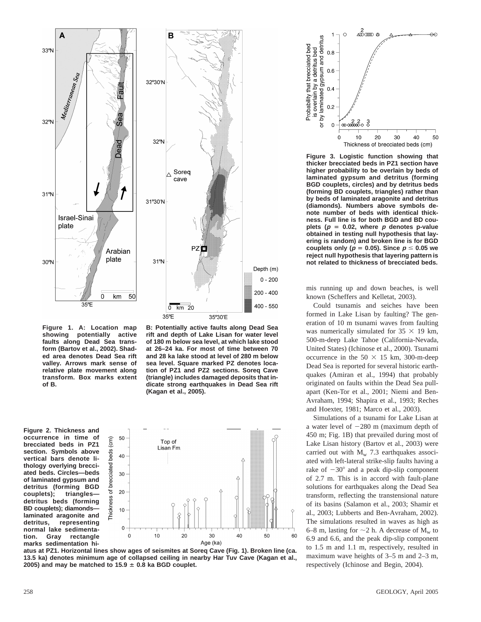

**Figure 1. A: Location map showing potentially active faults along Dead Sea transform (Bartov et al., 2002). Shaded area denotes Dead Sea rift valley. Arrows mark sense of relative plate movement along transform. Box marks extent of B.**

**Figure 2. Thickness and occurrence in time of brecciated beds in PZ1 section. Symbols above vertical bars denote lithology overlying brecciated beds. Circles—beds of laminated gypsum and detritus (forming BGD couplets); triangles detritus beds (forming BD couplets); diamonds laminated aragonite and detritus, representing normal lake sedimentation. Gray rectangle marks sedimentation hi-**









**Figure 3. Logistic function showing that thicker brecciated beds in PZ1 section have higher probability to be overlain by beds of laminated gypsum and detritus (forming BGD couplets, circles) and by detritus beds (forming BD couplets, triangles) rather than by beds of laminated aragonite and detritus (diamonds). Numbers above symbols denote number of beds with identical thickness. Full line is for both BGD and BD cou**plets ( $p = 0.02$ , where  $p$  denotes p-value **obtained in testing null hypothesis that layering is random) and broken line is for BGD couplets only (** $p = 0.05$ **). Since**  $p \le 0.05$  **we reject null hypothesis that layering pattern is not related to thickness of brecciated beds.**

mis running up and down beaches, is well known (Scheffers and Kelletat, 2003).

Could tsunamis and seiches have been formed in Lake Lisan by faulting? The generation of 10 m tsunami waves from faulting was numerically simulated for  $35 \times 19$  km, 500-m-deep Lake Tahoe (California-Nevada, United States) (Ichinose et al., 2000). Tsunami occurrence in the  $50 \times 15$  km, 300-m-deep Dead Sea is reported for several historic earthquakes (Amiran et al., 1994) that probably originated on faults within the Dead Sea pullapart (Ken-Tor et al., 2001; Niemi and Ben-Avraham, 1994; Shapira et al., 1993; Reches and Hoexter, 1981; Marco et al., 2003).

Simulations of a tsunami for Lake Lisan at a water level of  $-280$  m (maximum depth of 450 m; Fig. 1B) that prevailed during most of Lake Lisan history (Bartov et al., 2003) were carried out with  $M_w$  7.3 earthquakes associated with left-lateral strike-slip faults having a rake of  $-30^{\circ}$  and a peak dip-slip component of 2.7 m. This is in accord with fault-plane solutions for earthquakes along the Dead Sea transform, reflecting the transtensional nature of its basins (Salamon et al., 2003; Shamir et al., 2003; Lubberts and Ben-Avraham, 2002). The simulations resulted in waves as high as 6–8 m, lasting for  $\sim$ 2 h. A decrease of M<sub>w</sub> to 6.9 and 6.6, and the peak dip-slip component to 1.5 m and 1.1 m, respectively, resulted in maximum wave heights of 3–5 m and 2–3 m, respectively (Ichinose and Begin, 2004).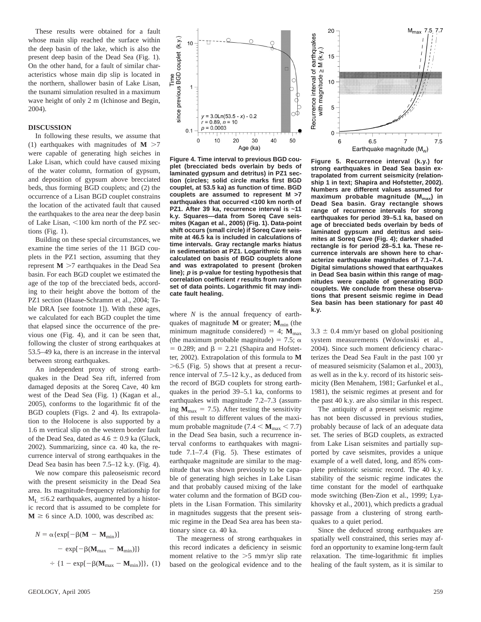These results were obtained for a fault whose main slip reached the surface within the deep basin of the lake, which is also the present deep basin of the Dead Sea (Fig. 1). On the other hand, for a fault of similar characteristics whose main dip slip is located in the northern, shallower basin of Lake Lisan, the tsunami simulation resulted in a maximum wave height of only 2 m (Ichinose and Begin, 2004).

#### **DISCUSSION**

In following these results, we assume that (1) earthquakes with magnitudes of  $M > 7$ were capable of generating high seiches in Lake Lisan, which could have caused mixing of the water column, formation of gypsum, and deposition of gypsum above brecciated beds, thus forming BGD couplets; and (2) the occurrence of a Lisan BGD couplet constrains the location of the activated fault that caused the earthquakes to the area near the deep basin of Lake Lisan,  $<$ 100 km north of the PZ sections (Fig. 1).

Building on these special circumstances, we examine the time series of the 11 BGD couplets in the PZ1 section, assuming that they represent  $M > 7$  earthquakes in the Dead Sea basin. For each BGD couplet we estimated the age of the top of the brecciated beds, according to their height above the bottom of the PZ1 section (Haase-Schramm et al., 2004; Table DRA [see footnote 1]). With these ages, we calculated for each BGD couplet the time that elapsed since the occurrence of the previous one (Fig. 4), and it can be seen that, following the cluster of strong earthquakes at 53.5–49 ka, there is an increase in the interval between strong earthquakes.

An independent proxy of strong earthquakes in the Dead Sea rift, inferred from damaged deposits at the Soreq Cave, 40 km west of the Dead Sea (Fig. 1) (Kagan et al., 2005), conforms to the logarithmic fit of the BGD couplets (Figs. 2 and 4). Its extrapolation to the Holocene is also supported by a 1.6 m vertical slip on the western border fault of the Dead Sea, dated as  $4.6 \pm 0.9$  ka (Gluck, 2002). Summarizing, since ca. 40 ka, the recurrence interval of strong earthquakes in the Dead Sea basin has been 7.5–12 k.y. (Fig. 4).

We now compare this paleoseismic record with the present seismicity in the Dead Sea area. Its magnitude-frequency relationship for  $M_L \leq 6.2$  earthquakes, augmented by a historic record that is assumed to be complete for  $M \ge 6$  since A.D. 1000, was described as:

$$
N = \alpha \{ \exp[-\beta(M - M_{\min})]
$$
  
- 
$$
\exp[-\beta(M_{\max} - M_{\min})]\}
$$
  
+ 
$$
\{1 - \exp[-\beta(M_{\max} - M_{\min})]\}, (1)
$$



**Figure 4. Time interval to previous BGD couplet (brecciated beds overlain by beds of laminated gypsum and detritus) in PZ1 section (circles; solid circle marks first BGD couplet, at 53.5 ka) as function of time. BGD couplets are assumed to represent M >7 earthquakes that occurred <100 km north of PZ1. After 39 ka, recurrence interval is ~11 k.y. Squares—data from Soreq Cave seismites (Kagan et al., 2005) (Fig. 1). Data-point shift occurs (small circle) if Soreq Cave seismite at 46.5 ka is included in calculations of time intervals. Gray rectangle marks hiatus in sedimentation at PZ1. Logarithmic fit was calculated on basis of BGD couplets alone and was extrapolated to present (broken line); p is p-value for testing hypothesis that correlation coefficient <sup>r</sup> results from random set of data points. Logarithmic fit may indicate fault healing.**

where *N* is the annual frequency of earthquakes of magnitude  $M$  or greater;  $M_{\text{min}}$  (the minimum magnitude considered) = 4;  $M_{\text{max}}$ (the maximum probable magnitude) = 7.5;  $\alpha$  $= 0.289$ ; and  $\beta = 2.21$  (Shapira and Hofstetter, 2002). Extrapolation of this formula to **M**  $>6.5$  (Fig. 5) shows that at present a recurrence interval of 7.5–12 k.y., as deduced from the record of BGD couplets for strong earthquakes in the period 39–5.1 ka, conforms to earthquakes with magnitude 7.2–7.3 (assuming  $M_{\text{max}} = 7.5$ ). After testing the sensitivity of this result to different values of the maximum probable magnitude  $(7.4 < M_{\text{max}} < 7.7)$ in the Dead Sea basin, such a recurrence interval conforms to earthquakes with magnitude 7.1–7.4 (Fig. 5). These estimates of earthquake magnitude are similar to the magnitude that was shown previously to be capable of generating high seiches in Lake Lisan and that probably caused mixing of the lake water column and the formation of BGD couplets in the Lisan Formation. This similarity in magnitudes suggests that the present seismic regime in the Dead Sea area has been stationary since ca. 40 ka.

The meagerness of strong earthquakes in this record indicates a deficiency in seismic moment relative to the  $>5$  mm/yr slip rate based on the geological evidence and to the



**Figure 5. Recurrence interval (k.y.) for strong earthquakes in Dead Sea basin extrapolated from current seismicity (relationship 1 in text; Shapira and Hofstetter, 2002). Numbers are different values assumed for** maximum probable magnitude (M<sub>max</sub>) in **Dead Sea basin. Gray rectangle shows range of recurrence intervals for strong earthquakes for period 39–5.1 ka, based on age of brecciated beds overlain by beds of laminated gypsum and detritus and seismites at Soreq Cave (Fig. 4); darker shaded rectangle is for period 28–5.1 ka. These recurrence intervals are shown here to characterize earthquake magnitudes of 7.1–7.4. Digital simulations showed that earthquakes in Dead Sea basin within this range of magnitudes were capable of generating BGD couplets. We conclude from these observations that present seismic regime in Dead Sea basin has been stationary for past 40 k.y.**

 $3.3 \pm 0.4$  mm/yr based on global positioning system measurements (Wdowinski et al., 2004). Since such moment deficiency characterizes the Dead Sea Fault in the past 100 yr of measured seismicity (Salamon et al., 2003), as well as in the k.y. record of its historic seismicity (Ben Menahem, 1981; Garfunkel et al., 1981), the seismic regimes at present and for the past 40 k.y. are also similar in this respect.

The antiquity of a present seismic regime has not been discussed in previous studies, probably because of lack of an adequate data set. The series of BGD couplets, as extracted from Lake Lisan seismites and partially supported by cave seismites, provides a unique example of a well dated, long, and 85% complete prehistoric seismic record. The 40 k.y. stability of the seismic regime indicates the time constant for the model of earthquake mode switching (Ben-Zion et al., 1999; Lyakhovsky et al., 2001), which predicts a gradual passage from a clustering of strong earthquakes to a quiet period.

Since the deduced strong earthquakes are spatially well constrained, this series may afford an opportunity to examine long-term fault relaxation. The time-logarithmic fit implies healing of the fault system, as it is similar to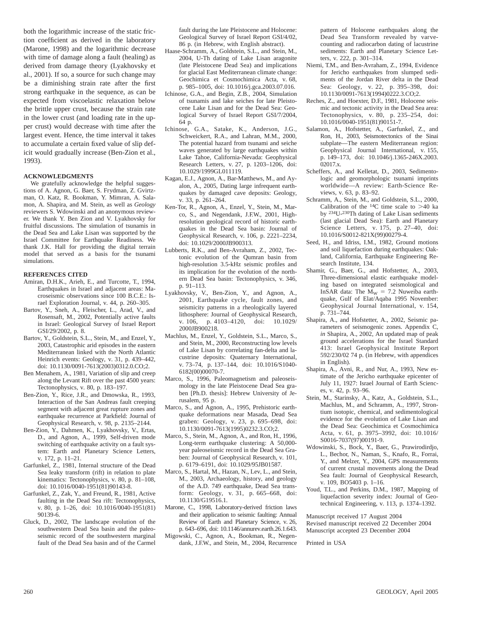both the logarithmic increase of the static friction coefficient as derived in the laboratory (Marone, 1998) and the logarithmic decrease with time of damage along a fault (healing) as derived from damage theory (Lyakhovsky et al., 2001). If so, a source for such change may be a diminishing strain rate after the first strong earthquake in the sequence, as can be expected from viscoelastic relaxation below the brittle upper crust, because the strain rate in the lower crust (and loading rate in the upper crust) would decrease with time after the largest event. Hence, the time interval it takes to accumulate a certain fixed value of slip deficit would gradually increase (Ben-Zion et al., 1993).

#### **ACKNOWLEDGMENTS**

We gratefully acknowledge the helpful suggestions of A. Agnon, G. Baer, S. Frydman, Z. Gvirtzman, O. Katz, R. Bookman, Y. Mimran, A. Salamon, A. Shapira, and M. Stein, as well as *Geology* reviewers S. Wdowinski and an anonymous reviewer. We thank Y. Ben Zion and V. Lyakhovsky for fruitful discussions. The simulation of tsunamis in the Dead Sea and Lake Lisan was supported by the Israel Committee for Earthquake Readiness. We thank J.K. Hall for providing the digital terrain model that served as a basis for the tsunami simulations.

#### **REFERENCES CITED**

- Amiran, D.H.K., Arieh, E., and Turcotte, T., 1994, Earthquakes in Israel and adjacent areas: Macroseismic observations since 100 B.C.E.: Israel Exploration Journal, v. 44, p. 260–305.
- Bartov, Y., Sneh, A., Fleischer, L., Arad, V., and Rosensaft, M., 2002, Potentially active faults in Israel: Geological Survey of Israel Report GSI/29/2002, p. 8.
- Bartov, Y., Goldstein, S.L., Stein, M., and Enzel, Y., 2003, Catastrophic arid episodes in the eastern Mediterranean linked with the North Atlantic Heinrich events: Geology, v. 31, p. 439–442, doi: 10.1130/0091-7613(2003)0312.0.CO;2.
- Ben Menahem, A., 1981, Variation of slip and creep along the Levant Rift over the past 4500 years: Tectonophysics, v. 80, p. 183–197.
- Ben-Zion, Y., Rice, J.R., and Dmowska, R., 1993, Interaction of the San Andreas fault creeping segment with adjacent great rupture zones and earthquake recurrence at Parkfield: Journal of Geophysical Research, v. 98, p. 2135–2144.
- Ben-Zion, Y., Dahmen, K., Lyakhovsky, V., Ertas, D., and Agnon, A., 1999, Self-driven mode switching of earthquake activity on a fault system: Earth and Planetary Science Letters, v. 172, p. 11–21.
- Garfunkel, Z., 1981, Internal structure of the Dead Sea leaky transform (rift) in relation to plate kinematics: Tectonophysics, v. 80, p. 81–108, doi: 10.1016/0040-1951(81)90143-8.
- Garfunkel, Z., Zak, Y., and Freund, R., 1981, Active faulting in the Dead Sea rift: Tectonophysics, v. 80, p. 1–26, doi: 10.1016/0040-1951(81) 90139-6.
- Gluck, D., 2002, The landscape evolution of the southwestern Dead Sea basin and the paleoseismic record of the southwestern marginal fault of the Dead Sea basin and of the Carmel

fault during the late Pleistocene and Holocene: Geological Survey of Israel Report GSI/4/02, 86 p. (in Hebrew, with English abstract).

- Haase-Schramm, A., Goldstein, S.L., and Stein, M., 2004, U-Th dating of Lake Lisan aragonite (late Pleistocene Dead Sea) and implications for glacial East Mediterranean climate change: Geochimica et Cosmochimica Acta, v. 68, p. 985–1005, doi: 10.1016/j.gca.2003.07.016.
- Ichinose, G.A., and Begin, Z.B., 2004, Simulation of tsunamis and lake seiches for late Pleistocene Lake Lisan and for the Dead Sea: Geological Survey of Israel Report GSI/7/2004, 64 p.
- Ichinose, G.A., Satake, K., Anderson, J.G., Schweickert, R.A., and Lahran, M.M., 2000, The potential hazard from tsunami and seiche waves generated by large earthquakes within Lake Tahoe, California-Nevada: Geophysical Research Letters, v. 27, p. 1203–1206, doi: 10.1029/1999GL011119.
- Kagan, E.J., Agnon, A., Bar-Matthews, M., and Ayalon, A., 2005, Dating large infrequent earthquakes by damaged cave deposits: Geology, v. 33, p. 261–264.
- Ken-Tor, R., Agnon, A., Enzel, Y., Stein, M., Marco, S., and Negendank, J.F.W., 2001, Highresolution geological record of historic earthquakes in the Dead Sea basin: Journal of Geophysical Research, v. 106, p. 2221–2234, doi: 10.1029/2000JB900313.
- Lubberts, R.K., and Ben-Avraham, Z., 2002, Tectonic evolution of the Qumran basin from high-resolution 3.5-kHz seismic profiles and its implication for the evolution of the northern Dead Sea basin: Tectonophysics, v. 346, p. 91–113.
- Lyakhovsky, V., Ben-Zion, Y., and Agnon, A., 2001, Earthquake cycle, fault zones, and seismicity patterns in a rheologically layered lithosphere: Journal of Geophysical Research, v. 106, p. 4103–4120, doi: 10.1029/ 2000JB900218.
- Machlus, M., Enzel, Y., Goldstein, S.L., Marco, S., and Stein, M., 2000, Reconstructing low levels of Lake Lisan by correlating fan-delta and lacustrine deposits: Quaternary International, v. 73–74, p. 137–144, doi: 10.1016/S1040- 6182(00)00070-7.
- Marco, S., 1996, Paleomagnetism and paleoseismology in the late Pleistocene Dead Sea graben [Ph.D. thesis]: Hebrew University of Jerusalem, 95 p.
- Marco, S., and Agnon, A., 1995, Prehistoric earthquake deformations near Masada, Dead Sea graben: Geology, v. 23, p. 695–698, doi: 10.1130/0091-7613(1995)0232.3.CO;2.
- Marco, S., Stein, M., Agnon, A., and Ron, H., 1996, Long-term earthquake clustering: A 50,000 year paleoseismic record in the Dead Sea Graben: Journal of Geophysical Research, v. 101, p. 6179–6191, doi: 10.1029/95JB01587.
- Marco, S., Hartal, M., Hazan, N., Lev, L., and Stein, M., 2003, Archaeology, history, and geology of the A.D. 749 earthquake, Dead Sea transform: Geology, v. 31, p. 665–668, doi: 10.1130/G19516.1.
- Marone, C., 1998, Laboratory-derived friction laws and their application to seismic faulting: Annual Review of Earth and Planetary Science, v. 26, p. 643–696, doi: 10.1146/annurev.earth.26.1.643.
- Migowski, C., Agnon, A., Bookman, R., Negendank, J.F.W., and Stein, M., 2004, Recurrence

pattern of Holocene earthquakes along the Dead Sea Transform revealed by varvecounting and radiocarbon dating of lacustrine sediments: Earth and Planetary Science Letters, v. 222, p. 301–314.

- Niemi, T.M., and Ben-Avraham, Z., 1994, Evidence for Jericho earthquakes from slumped sediments of the Jordan River delta in the Dead Sea: Geology, v. 22, p. 395–398, doi: 10.1130/0091-7613(1994)0222.3.CO;2.
- Reches, Z., and Hoexter, D.F., 1981, Holocene seismic and tectonic activity in the Dead Sea area: Tectonophysics, v. 80, p. 235–254, doi: 10.1016/0040-1951(81)90151-7.
- Salamon, A., Hofstetter, A., Garfunkel, Z., and Ron, H., 2003, Seismotectonics of the Sinai subplate—The eastern Mediterranean region: Geophysical Journal International, v. 155, p. 149–173, doi: 10.1046/j.1365-246X.2003. 02017.x.
- Scheffers, A., and Kelletat, D., 2003, Sedimentologic and geomorphologic tsunami imprints worldwide—A review: Earth-Science Reviews, v. 63, p. 83–92.
- Schramm, A., Stein, M., and Goldstein, S.L., 2000, Calibration of the  $^{14}$ C time scale to  $>40$  ka by 234U-230Th dating of Lake Lisan sediments (last glacial Dead Sea): Earth and Planetary Science Letters, v. 175, p. 27–40, doi: 10.1016/S0012-821X(99)00279-4.
- Seed, H., and Idriss, I.M., 1982, Ground motions and soil liquefaction during earthquakes: Oakland, California, Earthquake Engineering Research Institute, 134.
- Shamir, G., Baer, G., and Hofstetter, A., 2003, Three-dimensional elastic earthquake modeling based on integrated seismological and InSAR data: The  $M_W = 7.2$  Nuweiba earthquake, Gulf of Elat/Aqaba 1995 November: Geophysical Journal International, v. 154, p. 731–744.
- Shapira, A., and Hofstetter, A., 2002, Seismic parameters of seismogenic zones. Appendix C, *in* Shapira, A., 2002, An updated map of peak ground accelerations for the Israel Standard 413: Israel Geophysical Institute Report 592/230/02 74 p. (in Hebrew, with appendices in English).
- Shapira, A., Avni, R., and Nur, A., 1993, New estimate of the Jericho earthquake epicenter of July 11, 1927: Israel Journal of Earth Sciences, v. 42, p. 93–96.
- Stein, M., Starinsky, A., Katz, A., Goldstein, S.L., Machlus, M., and Schramm, A., 1997, Strontium isotopic, chemical, and sedimentological evidence for the evolution of Lake Lisan and the Dead Sea: Geochimica et Cosmochimica Acta, v. 61, p. 3975–3992, doi: 10.1016/ S0016-7037(97)00191-9.
- Wdowinski, S., Bock, Y., Baer, G., Prawirodirdjo, L., Bechor, N., Naman, S., Knafo, R., Forrai, Y., and Melzer, Y., 2004, GPS measurements of current crustal movements along the Dead Sea fault: Journal of Geophysical Research, v. 109, BO5403 p. 1–16.
- Youd, T.L., and Perkins, D.M., 1987, Mapping of liquefaction severity index: Journal of Geotechnical Engineering, v. 113, p. 1374–1392.

Manuscript received 17 August 2004 Revised manuscript received 22 December 2004 Manuscript accepted 23 December 2004

Printed in USA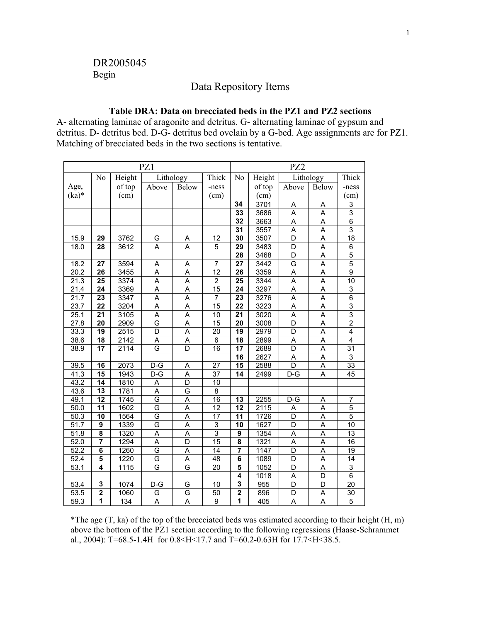# DR2005045 Begin

### Data Repository Items

### **Table DRA: Data on brecciated beds in the PZ1 and PZ2 sections**

A- alternating laminae of aragonite and detritus. G- alternating laminae of gypsum and detritus. D- detritus bed. D-G- detritus bed ovelain by a G-bed. Age assignments are for PZ1. Matching of brecciated beds in the two sections is tentative.

| PZ1               |                         |        |                         |                         | PZ2             |                         |        |                  |                         |                 |
|-------------------|-------------------------|--------|-------------------------|-------------------------|-----------------|-------------------------|--------|------------------|-------------------------|-----------------|
|                   | No                      | Height | Lithology               |                         | Thick           | No                      | Height | Lithology        |                         | Thick           |
| Age,              |                         | of top | Above                   | Below                   | -ness           |                         | of top | Above            | Below                   | -ness           |
| $(ka)*$           |                         | (cm)   |                         |                         | (cm)            |                         | (cm)   |                  |                         | (cm)            |
|                   |                         |        |                         |                         |                 | $\overline{34}$         | 3701   | A                | A                       | 3               |
|                   |                         |        |                         |                         |                 | 33                      | 3686   | A                | A                       | $\overline{3}$  |
|                   |                         |        |                         |                         |                 | 32                      | 3663   | Α                | Α                       | 6               |
|                   |                         |        |                         |                         |                 | $\overline{31}$         | 3557   | Ā                | $\overline{\mathsf{A}}$ | $\overline{3}$  |
| 15.9              | 29                      | 3762   | G                       | A                       | $\overline{12}$ | $\overline{30}$         | 3507   | D                | $\overline{A}$          | $\overline{18}$ |
| 18.0              | 28                      | 3612   | A                       | A                       | $\overline{5}$  | 29                      | 3483   | $\overline{D}$   | $\overline{\mathsf{A}}$ | 6               |
|                   |                         |        |                         |                         |                 | 28                      | 3468   | $\overline{D}$   | $\overline{\mathsf{A}}$ | $\overline{5}$  |
| 18.2              | 27                      | 3594   | Α                       | A                       | $\overline{7}$  | 27                      | 3442   | G                | A                       | 5               |
| 20.2              | 26                      | 3455   | Α                       | Α                       | $\overline{12}$ | 26                      | 3359   | A                | A                       | 9               |
| 21.3              | $\overline{25}$         | 3374   | $\overline{A}$          | Ā                       | $\overline{2}$  | 25                      | 3344   | Ā                | $\overline{\mathsf{A}}$ | $\overline{10}$ |
| 21.4              | $\overline{24}$         | 3369   | A                       | $\overline{A}$          | $\overline{15}$ | $\overline{24}$         | 3297   | Ā                | $\overline{\mathsf{A}}$ | 3               |
| $\overline{21.7}$ | 23                      | 3347   | $\overline{\mathsf{A}}$ | Ā                       | $\overline{7}$  | 23                      | 3276   | Ā                | $\overline{\mathsf{A}}$ | $\overline{6}$  |
| 23.7              | $\overline{22}$         | 3204   | $\overline{\mathsf{A}}$ | $\overline{A}$          | $\overline{15}$ | $\overline{22}$         | 3223   | Ā                | $\overline{\mathsf{A}}$ | $\overline{3}$  |
| 25.1              | 21                      | 3105   | A                       | A                       | 10              | 21                      | 3020   | A                | A                       | 3               |
| 27.8              | 20                      | 2909   | G                       | A                       | 15              | 20                      | 3008   | D                | A                       | $\overline{2}$  |
| 33.3              | 19                      | 2515   | $\overline{D}$          | $\overline{A}$          | 20              | 19                      | 2979   | D                | Ā                       | $\overline{4}$  |
| 38.6              | $\overline{18}$         | 2142   | A                       | A                       | 6               | 18                      | 2899   | A                | $\overline{\mathsf{A}}$ | 4               |
| 38.9              | $\overline{17}$         | 2114   | G                       | $\overline{\mathsf{D}}$ | $\overline{16}$ | 17                      | 2689   | D                | $\overline{\mathsf{A}}$ | $\overline{31}$ |
|                   |                         |        |                         |                         |                 | $\overline{16}$         | 2627   | A                | $\overline{\mathsf{A}}$ | 3               |
| 39.5              | 16                      | 2073   | $D-G$                   | A                       | $\overline{27}$ | $\overline{15}$         | 2588   | D                | Α                       | $\overline{33}$ |
| 41.3              | 15                      | 1943   | $D-G$                   | Α                       | 37              | 14                      | 2499   | $D-G$            | Α                       | 45              |
| 43.2              | $\overline{14}$         | 1810   | Α                       | $\overline{D}$          | 10              |                         |        |                  |                         |                 |
| 43.6              | $\overline{13}$         | 1781   | A                       | G                       | $\overline{8}$  |                         |        |                  |                         |                 |
| 49.1              | 12                      | 1745   | G                       | A                       | 16              | $\overline{13}$         | 2255   | $\overline{D-G}$ | Α                       | $\overline{7}$  |
| 50.0              | $\overline{11}$         | 1602   | G                       | $\overline{A}$          | $\overline{12}$ | $\overline{12}$         | 2115   | Α                | $\overline{\mathsf{A}}$ | $\overline{5}$  |
| 50.3              | 10                      | 1564   | G                       | A                       | 17              | $\overline{11}$         | 1726   | D                | A                       | 5               |
| 51.7              | 9                       | 1339   | G                       | Α                       | 3               | 10                      | 1627   | D                | Α                       | 10              |
| 51.8              | $\overline{\mathbf{8}}$ | 1320   | $\overline{A}$          | $\overline{A}$          | $\overline{3}$  | $\overline{9}$          | 1354   | A                | $\overline{A}$          | $\overline{13}$ |
| 52.0              | $\overline{7}$          | 1294   | A                       | D                       | $\overline{15}$ | 8                       | 1321   | A                | $\overline{\mathsf{A}}$ | $\overline{16}$ |
| 52.2              | $\overline{6}$          | 1260   | G                       | A                       | $\overline{14}$ |                         | 1147   | $\overline{D}$   | $\overline{A}$          | 19              |
| $\overline{52.4}$ | 5                       | 1220   | G                       | $\overline{A}$          | $\overline{48}$ | $\overline{6}$          | 1089   | D                | $\overline{\mathsf{A}}$ | $\overline{14}$ |
| 53.1              | 4                       | 1115   | G                       | G                       | $\overline{20}$ | $\overline{\mathbf{5}}$ | 1052   | D                | A                       | $\overline{3}$  |
|                   |                         |        |                         |                         |                 | 4                       | 1018   | Α                | D                       | 6               |
| 53.4              | $\overline{\mathbf{3}}$ | 1074   | $D-G$                   | G                       | 10              | $\overline{\mathbf{3}}$ | 955    | D                | $\overline{D}$          | $\overline{20}$ |
| 53.5              | $\overline{2}$          | 1060   | G                       | G                       | 50              | $\overline{2}$          | 896    | D                | Α                       | 30              |
| 59.3              | 1                       | 134    | $\overline{\mathsf{A}}$ | A                       | $\overline{9}$  | 1                       | 405    | $\overline{A}$   | $\overline{A}$          | 5               |

\*The age  $(T, ka)$  of the top of the brecciated beds was estimated according to their height  $(H, m)$ above the bottom of the PZ1 section according to the following regressions (Haase-Schrammet al., 2004): T=68.5-1.4H for 0.8<H<17.7 and T=60.2-0.63H for 17.7<H<38.5.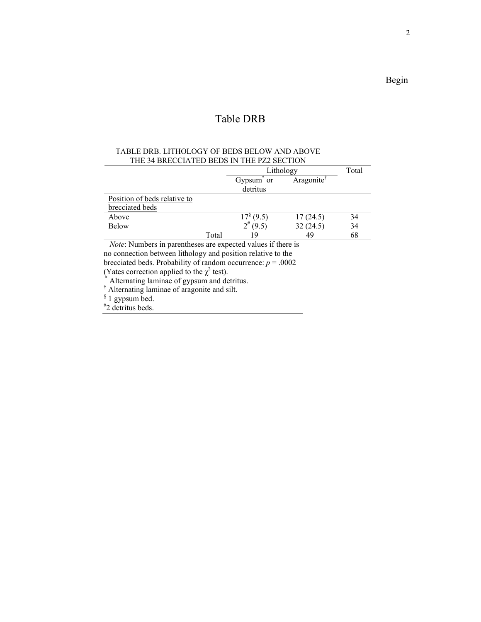# Table DRB

### TABLE DRB. LITHOLOGY OF BEDS BELOW AND ABOVE THE 34 BRECCIATED BEDS IN THE PZ2 SECTION

|                              |       | Lithology                  | Total     |    |
|------------------------------|-------|----------------------------|-----------|----|
|                              |       | Gypsum or<br>detritus      | Aragonite |    |
| Position of beds relative to |       |                            |           |    |
| brecciated beds              |       |                            |           |    |
| Above                        |       | $.7^{\circ}$ (9.5)         | 17(24.5)  | 34 |
| <b>Below</b>                 |       | $2^{#}(9.5)$               | 32(24.5)  | 34 |
| $\sim$<br>- -                | Total | 19<br>$\sim$ $\sim$<br>. . | 49        | 68 |

 *Note*: Numbers in parentheses are expected values if there is no connection between lithology and position relative to the brecciated beds. Probability of random occurrence:  $p = .0002$ 

(Yates correction applied to the  $\chi^2$ 

(Yates correction applied to the  $\chi^2$  test).<br>
<sup>†</sup> Alternating laminae of gypsum and detritus.<br>
<sup>†</sup> Alternating laminae of aragonite and silt.

§ 1 gypsum bed.

# 2 detritus beds.

Begin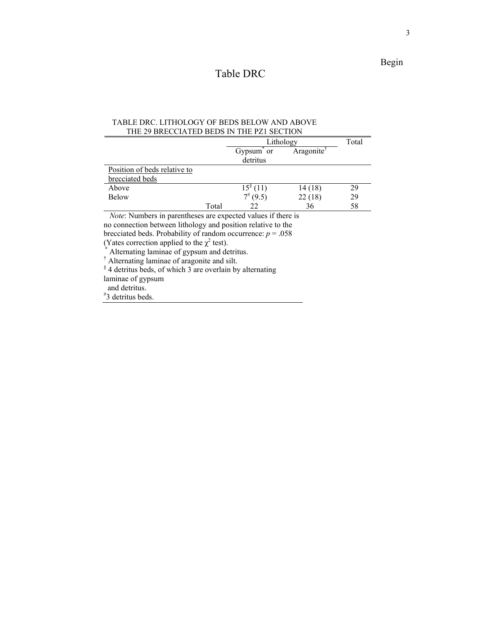# Table DRC

### TABLE DRC. LITHOLOGY OF BEDS BELOW AND ABOVE THE 29 BRECCIATED BEDS IN THE PZ1 SECTION

|                              |       | Lithology              | Total                  |    |
|------------------------------|-------|------------------------|------------------------|----|
|                              |       | Gypsum or              | Aragonite <sup>†</sup> |    |
|                              |       | detritus               |                        |    |
| Position of beds relative to |       |                        |                        |    |
| brecciated beds              |       |                        |                        |    |
| Above                        |       | $15^{\frac{5}{3}}(11)$ | 14(18)                 | 29 |
| <b>Below</b>                 |       | $7^{#}$ (9.5)          | 22(18)                 | 29 |
|                              | Total | 22                     | 36                     | 58 |

 *Note*: Numbers in parentheses are expected values if there is

no connection between lithology and position relative to the

brecciated beds. Probability of random occurrence:  $p = .058$ 

(Yates correction applied to the  $\chi^2$ 

Alternating laminae of gypsum and detritus.

<sup>†</sup> Alternating laminae of aragonite and silt.<br>  $\frac{1}{3}$  4 detritus beds, of which 3 are overlain by alternating

laminae of gypsum

and detritus.

# 3 detritus beds.

**Begin**